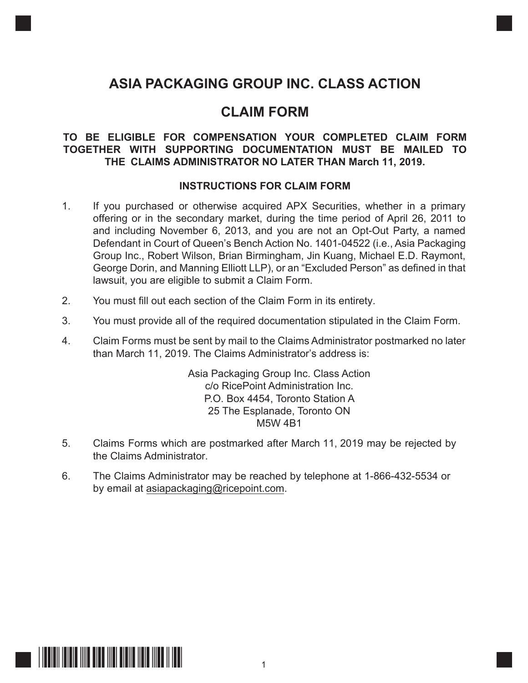# **ASIA PACKAGING GROUP INC. CLASS ACTION**

## **CLAIM FORM**

## **TO BE ELIGIBLE FOR COMPENSATION YOUR COMPLETED CLAIM FORM TOGETHER WITH SUPPORTING DOCUMENTATION MUST BE MAILED TO THE CLAIMS ADMINISTRATOR NO LATER THAN March 11, 2019.**

## **INSTRUCTIONS FOR CLAIM FORM**

- 1. If you purchased or otherwise acquired APX Securities, whether in a primary offering or in the secondary market, during the time period of April 26, 2011 to and including November 6, 2013, and you are not an Opt-Out Party, a named Defendant in Court of Queen's Bench Action No. 1401-04522 (i.e., Asia Packaging Group Inc., Robert Wilson, Brian Birmingham, Jin Kuang, Michael E.D. Raymont, George Dorin, and Manning Elliott LLP), or an "Excluded Person" as defined in that lawsuit, you are eligible to submit a Claim Form.
- 2. You must fill out each section of the Claim Form in its entirety.
- 3. You must provide all of the required documentation stipulated in the Claim Form.
- 4. Claim Forms must be sent by mail to the Claims Administrator postmarked no later than March 11, 2019. The Claims Administrator's address is:

Asia Packaging Group Inc. Class Action c/o RicePoint Administration Inc. P.O. Box 4454, Toronto Station A 25 The Esplanade, Toronto ON M5W 4B1

- 5. Claims Forms which are postmarked after March 11, 2019 may be rejected by the Claims Administrator.
- 6. The Claims Administrator may be reached by telephone at 1-866-432-5534 or by email at asiapackaging@ricepoint.com.

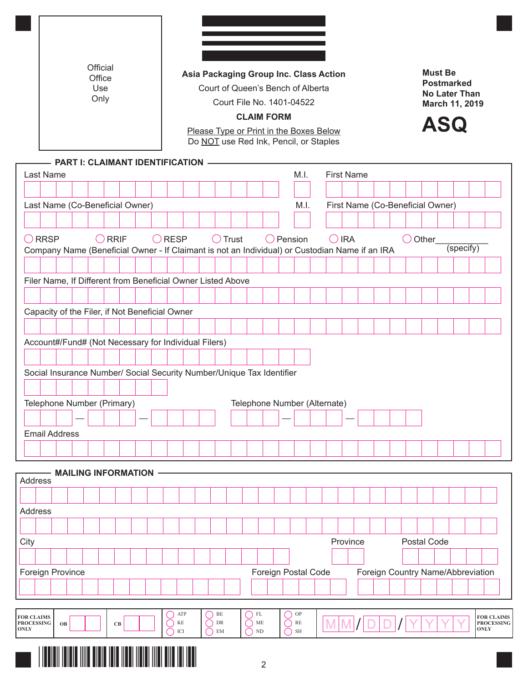|                      | Official<br>Office<br>Use<br>Only                     |  |                                                                                                |  |                 | Asia Packaging Group Inc. Class Action<br>Court of Queen's Bench of Alberta<br>Court File No. 1401-04522<br><b>CLAIM FORM</b><br>Please Type or Print in the Boxes Below<br>Do NOT use Red Ink, Pencil, or Staples |                 |  |  |  |                  |               |  |                   |                              | <b>Must Be</b><br><b>Postmarked</b><br><b>No Later Than</b><br>March 11, 2019<br><b>ASQ</b> |  |                |  |  |  |             |  |                                  |           |                                   |
|----------------------|-------------------------------------------------------|--|------------------------------------------------------------------------------------------------|--|-----------------|--------------------------------------------------------------------------------------------------------------------------------------------------------------------------------------------------------------------|-----------------|--|--|--|------------------|---------------|--|-------------------|------------------------------|---------------------------------------------------------------------------------------------|--|----------------|--|--|--|-------------|--|----------------------------------|-----------|-----------------------------------|
|                      | <b>PART I: CLAIMANT IDENTIFICATION -</b><br>Last Name |  |                                                                                                |  |                 |                                                                                                                                                                                                                    |                 |  |  |  |                  | M.I.          |  | <b>First Name</b> |                              |                                                                                             |  |                |  |  |  |             |  |                                  |           |                                   |
|                      |                                                       |  |                                                                                                |  |                 |                                                                                                                                                                                                                    |                 |  |  |  |                  |               |  |                   |                              |                                                                                             |  |                |  |  |  |             |  |                                  |           |                                   |
|                      |                                                       |  | Last Name (Co-Beneficial Owner)                                                                |  |                 |                                                                                                                                                                                                                    |                 |  |  |  |                  |               |  |                   | M.I.                         |                                                                                             |  |                |  |  |  |             |  | First Name (Co-Beneficial Owner) |           |                                   |
|                      |                                                       |  |                                                                                                |  |                 |                                                                                                                                                                                                                    |                 |  |  |  |                  |               |  |                   |                              |                                                                                             |  |                |  |  |  |             |  |                                  |           |                                   |
| $\bigcirc$ RRSP      |                                                       |  |                                                                                                |  | $\bigcirc$ RRIF |                                                                                                                                                                                                                    | $\bigcirc$ RESP |  |  |  | $\bigcirc$ Trust |               |  |                   | $\bigcirc$ Pension           |                                                                                             |  | $\bigcirc$ IRA |  |  |  | O Other     |  |                                  |           |                                   |
|                      |                                                       |  | Company Name (Beneficial Owner - If Claimant is not an Individual) or Custodian Name if an IRA |  |                 |                                                                                                                                                                                                                    |                 |  |  |  |                  |               |  |                   |                              |                                                                                             |  |                |  |  |  |             |  |                                  | (specify) |                                   |
|                      |                                                       |  |                                                                                                |  |                 |                                                                                                                                                                                                                    |                 |  |  |  |                  |               |  |                   |                              |                                                                                             |  |                |  |  |  |             |  |                                  |           |                                   |
|                      |                                                       |  | Filer Name, If Different from Beneficial Owner Listed Above                                    |  |                 |                                                                                                                                                                                                                    |                 |  |  |  |                  |               |  |                   |                              |                                                                                             |  |                |  |  |  |             |  |                                  |           |                                   |
|                      |                                                       |  |                                                                                                |  |                 |                                                                                                                                                                                                                    |                 |  |  |  |                  |               |  |                   |                              |                                                                                             |  |                |  |  |  |             |  |                                  |           |                                   |
|                      |                                                       |  | Capacity of the Filer, if Not Beneficial Owner                                                 |  |                 |                                                                                                                                                                                                                    |                 |  |  |  |                  |               |  |                   |                              |                                                                                             |  |                |  |  |  |             |  |                                  |           |                                   |
|                      |                                                       |  |                                                                                                |  |                 |                                                                                                                                                                                                                    |                 |  |  |  |                  |               |  |                   |                              |                                                                                             |  |                |  |  |  |             |  |                                  |           |                                   |
|                      |                                                       |  | Account#/Fund# (Not Necessary for Individual Filers)                                           |  |                 |                                                                                                                                                                                                                    |                 |  |  |  |                  |               |  |                   |                              |                                                                                             |  |                |  |  |  |             |  |                                  |           |                                   |
|                      |                                                       |  |                                                                                                |  |                 |                                                                                                                                                                                                                    |                 |  |  |  |                  |               |  |                   |                              |                                                                                             |  |                |  |  |  |             |  |                                  |           |                                   |
|                      |                                                       |  | Social Insurance Number/ Social Security Number/Unique Tax Identifier                          |  |                 |                                                                                                                                                                                                                    |                 |  |  |  |                  |               |  |                   |                              |                                                                                             |  |                |  |  |  |             |  |                                  |           |                                   |
|                      |                                                       |  |                                                                                                |  |                 |                                                                                                                                                                                                                    |                 |  |  |  |                  |               |  |                   |                              |                                                                                             |  |                |  |  |  |             |  |                                  |           |                                   |
|                      |                                                       |  | Telephone Number (Primary)                                                                     |  |                 |                                                                                                                                                                                                                    |                 |  |  |  |                  |               |  |                   | Telephone Number (Alternate) |                                                                                             |  |                |  |  |  |             |  |                                  |           |                                   |
|                      |                                                       |  |                                                                                                |  |                 |                                                                                                                                                                                                                    |                 |  |  |  |                  |               |  |                   |                              |                                                                                             |  |                |  |  |  |             |  |                                  |           |                                   |
| <b>Email Address</b> |                                                       |  |                                                                                                |  |                 |                                                                                                                                                                                                                    |                 |  |  |  |                  |               |  |                   |                              |                                                                                             |  |                |  |  |  |             |  |                                  |           |                                   |
|                      |                                                       |  |                                                                                                |  |                 |                                                                                                                                                                                                                    |                 |  |  |  |                  |               |  |                   |                              |                                                                                             |  |                |  |  |  |             |  |                                  |           |                                   |
|                      |                                                       |  |                                                                                                |  |                 |                                                                                                                                                                                                                    |                 |  |  |  |                  |               |  |                   |                              |                                                                                             |  |                |  |  |  |             |  |                                  |           |                                   |
| Address              |                                                       |  | <b>MAILING INFORMATION</b>                                                                     |  |                 |                                                                                                                                                                                                                    |                 |  |  |  |                  |               |  |                   |                              |                                                                                             |  |                |  |  |  |             |  |                                  |           |                                   |
|                      |                                                       |  |                                                                                                |  |                 |                                                                                                                                                                                                                    |                 |  |  |  |                  |               |  |                   |                              |                                                                                             |  |                |  |  |  |             |  |                                  |           |                                   |
|                      |                                                       |  |                                                                                                |  |                 |                                                                                                                                                                                                                    |                 |  |  |  |                  |               |  |                   |                              |                                                                                             |  |                |  |  |  |             |  |                                  |           |                                   |
|                      |                                                       |  |                                                                                                |  |                 |                                                                                                                                                                                                                    |                 |  |  |  |                  |               |  |                   |                              |                                                                                             |  |                |  |  |  |             |  |                                  |           |                                   |
| Address              |                                                       |  |                                                                                                |  |                 |                                                                                                                                                                                                                    |                 |  |  |  |                  |               |  |                   |                              |                                                                                             |  |                |  |  |  |             |  |                                  |           |                                   |
| City                 |                                                       |  |                                                                                                |  |                 |                                                                                                                                                                                                                    |                 |  |  |  |                  |               |  |                   |                              |                                                                                             |  | Province       |  |  |  | Postal Code |  |                                  |           |                                   |
|                      |                                                       |  |                                                                                                |  |                 |                                                                                                                                                                                                                    |                 |  |  |  |                  |               |  |                   |                              |                                                                                             |  |                |  |  |  |             |  |                                  |           |                                   |
| Foreign Province     |                                                       |  |                                                                                                |  |                 |                                                                                                                                                                                                                    |                 |  |  |  |                  |               |  |                   | Foreign Postal Code          |                                                                                             |  |                |  |  |  |             |  |                                  |           | Foreign Country Name/Abbreviation |
|                      |                                                       |  |                                                                                                |  |                 |                                                                                                                                                                                                                    |                 |  |  |  |                  |               |  |                   |                              |                                                                                             |  |                |  |  |  |             |  |                                  |           |                                   |
|                      |                                                       |  |                                                                                                |  |                 |                                                                                                                                                                                                                    |                 |  |  |  |                  | $\bigcirc$ FL |  |                   |                              |                                                                                             |  |                |  |  |  |             |  |                                  |           |                                   |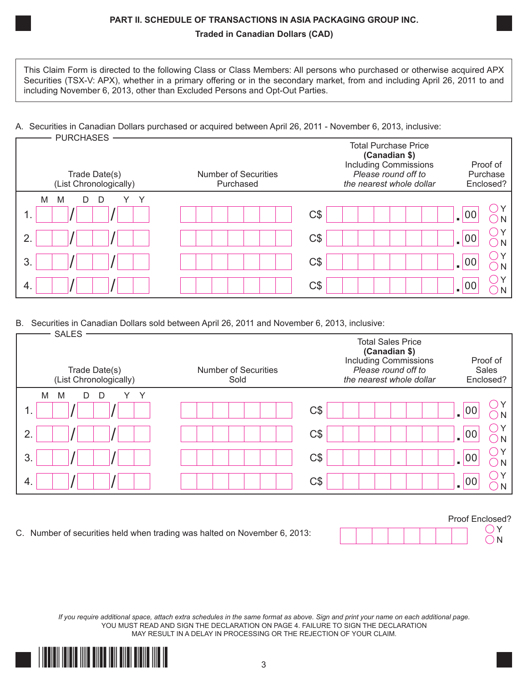## **PART II. SCHEDULE OF TRANSACTIONS IN ASIA PACKAGING GROUP INC. Traded in Canadian Dollars (CAD)**

This Claim Form is directed to the following Class or Class Members: All persons who purchased or otherwise acquired APX Securities (TSX-V: APX), whether in a primary offering or in the secondary market, from and including April 26, 2011 to and including November 6, 2013, other than Excluded Persons and Opt-Out Parties.

## A. Securities in Canadian Dollars purchased or acquired between April 26, 2011 - November 6, 2013, inclusive:

| <b>PURCHASES</b>                        |                                          |                                                                                                                                 |                                   |
|-----------------------------------------|------------------------------------------|---------------------------------------------------------------------------------------------------------------------------------|-----------------------------------|
| Trade Date(s)<br>(List Chronologically) | <b>Number of Securities</b><br>Purchased | <b>Total Purchase Price</b><br>(Canadian \$)<br><b>Including Commissions</b><br>Please round off to<br>the nearest whole dollar | Proof of<br>Purchase<br>Enclosed? |
| M<br>D<br>Υ<br>M<br>D                   |                                          | $C\$                                                                                                                            | 00                                |
| ာ                                       |                                          | C\$                                                                                                                             | 00                                |
| 3                                       |                                          | $C\$                                                                                                                            | 0 <sup>o</sup>                    |
| 4.                                      |                                          | C\$                                                                                                                             | 0                                 |

B. Securities in Canadian Dollars sold between April 26, 2011 and November 6, 2013, inclusive:

| <b>SALES</b>                            |                                     |                                                                                                                                                                |
|-----------------------------------------|-------------------------------------|----------------------------------------------------------------------------------------------------------------------------------------------------------------|
| Trade Date(s)<br>(List Chronologically) | <b>Number of Securities</b><br>Sold | <b>Total Sales Price</b><br>(Canadian \$)<br><b>Including Commissions</b><br>Proof of<br>Please round off to<br>Sales<br>the nearest whole dollar<br>Enclosed? |
| M<br>Υ<br>M<br>D<br>D                   |                                     | C\$<br> 00                                                                                                                                                     |
| 2.                                      |                                     | C\$<br>00<br>$\blacksquare$                                                                                                                                    |
| 3                                       |                                     | C\$<br>00                                                                                                                                                      |
| 4.                                      |                                     | C\$<br>00                                                                                                                                                      |
|                                         |                                     |                                                                                                                                                                |

C. Number of securities held when trading was halted on November 6, 2013:  $\Box$ 

*If you require additional space, attach extra schedules in the same format as above. Sign and print your name on each additional page.* YOU MUST READ AND SIGN THE DECLARATION ON PAGE 4. FAILURE TO SIGN THE DECLARATION MAY RESULT IN A DELAY IN PROCESSING OR THE REJECTION OF YOUR CLAIM.

Proof Enclosed?

 $\bigcirc$  N